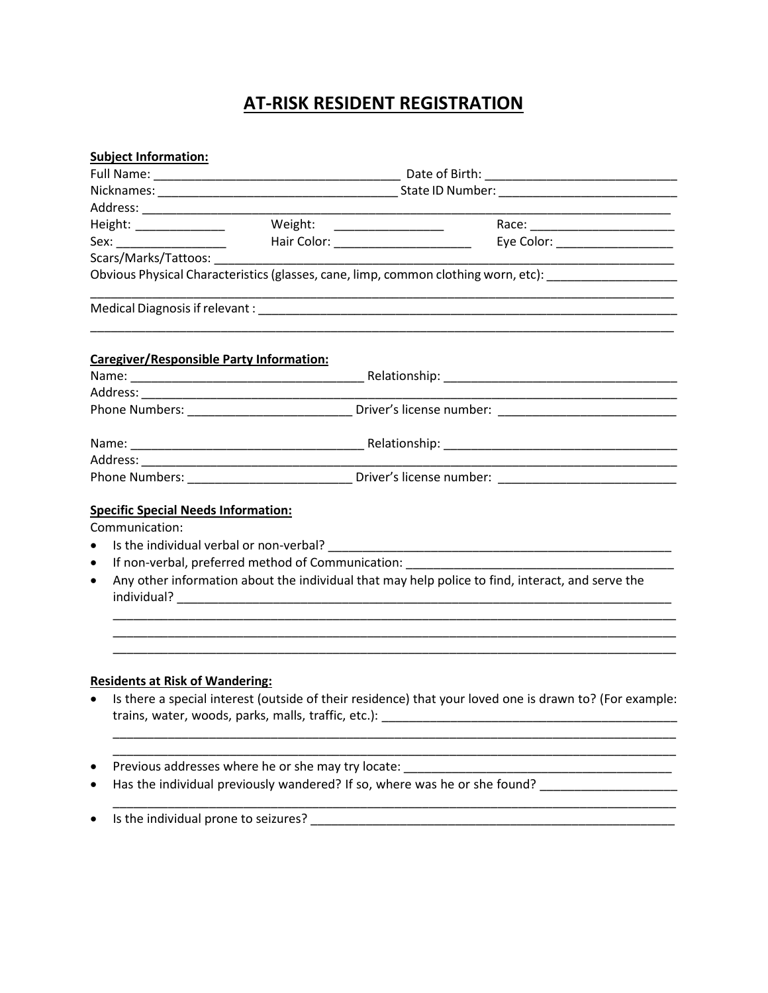## **AT-RISK RESIDENT REGISTRATION**

|           | <b>Subject Information:</b>                                                                             |                                                                                  |                                                                                                                      |  |
|-----------|---------------------------------------------------------------------------------------------------------|----------------------------------------------------------------------------------|----------------------------------------------------------------------------------------------------------------------|--|
|           |                                                                                                         |                                                                                  |                                                                                                                      |  |
|           |                                                                                                         |                                                                                  |                                                                                                                      |  |
|           |                                                                                                         |                                                                                  |                                                                                                                      |  |
|           | Height: ______________                                                                                  | Weight: ___________________                                                      |                                                                                                                      |  |
|           |                                                                                                         | Sex: ________________________    Hair Color: ___________________________________ | Eye Color: ___________________                                                                                       |  |
|           |                                                                                                         |                                                                                  |                                                                                                                      |  |
|           |                                                                                                         |                                                                                  | Obvious Physical Characteristics (glasses, cane, limp, common clothing worn, etc): _______________________           |  |
|           |                                                                                                         |                                                                                  |                                                                                                                      |  |
|           |                                                                                                         | Caregiver/Responsible Party Information:                                         |                                                                                                                      |  |
|           |                                                                                                         |                                                                                  |                                                                                                                      |  |
|           |                                                                                                         |                                                                                  |                                                                                                                      |  |
|           |                                                                                                         |                                                                                  | Phone Numbers: __________________________________Driver's license number: __________________________                 |  |
|           |                                                                                                         |                                                                                  |                                                                                                                      |  |
|           |                                                                                                         |                                                                                  | <u> 1989 - Johann John Stein, markin film ar yn y brenin y brenin y brenin y brenin y brenin y brenin y brenin y</u> |  |
|           |                                                                                                         |                                                                                  |                                                                                                                      |  |
|           | <b>Specific Special Needs Information:</b>                                                              |                                                                                  |                                                                                                                      |  |
|           | Communication:                                                                                          |                                                                                  |                                                                                                                      |  |
| $\bullet$ |                                                                                                         |                                                                                  |                                                                                                                      |  |
| $\bullet$ |                                                                                                         |                                                                                  |                                                                                                                      |  |
| $\bullet$ | Any other information about the individual that may help police to find, interact, and serve the        |                                                                                  |                                                                                                                      |  |
|           |                                                                                                         |                                                                                  |                                                                                                                      |  |
|           |                                                                                                         |                                                                                  |                                                                                                                      |  |
|           | <b>Residents at Risk of Wandering:</b>                                                                  |                                                                                  |                                                                                                                      |  |
|           | Is there a special interest (outside of their residence) that your loved one is drawn to? (For example: |                                                                                  |                                                                                                                      |  |
|           |                                                                                                         |                                                                                  |                                                                                                                      |  |

\_\_\_\_\_\_\_\_\_\_\_\_\_\_\_\_\_\_\_\_\_\_\_\_\_\_\_\_\_\_\_\_\_\_\_\_\_\_\_\_\_\_\_\_\_\_\_\_\_\_\_\_\_\_\_\_\_\_\_\_\_\_\_\_\_\_\_\_\_\_\_\_\_\_\_\_\_\_\_\_\_\_

- Previous addresses where he or she may try locate: \_\_\_\_\_\_\_\_\_\_\_\_\_\_\_\_\_\_\_\_\_\_\_\_\_\_\_\_\_\_\_\_\_\_\_\_\_\_\_
- Has the individual previously wandered? If so, where was he or she found? \_\_\_\_\_\_\_\_\_\_\_\_\_\_\_\_\_\_\_\_\_\_\_\_\_\_\_\_\_\_\_\_\_\_
- Is the individual prone to seizures? \_\_\_\_\_\_\_\_\_\_\_\_\_\_\_\_\_\_\_\_\_\_\_\_\_\_\_\_\_\_\_\_\_\_\_\_\_\_\_\_\_\_\_\_\_\_\_\_\_\_\_\_\_